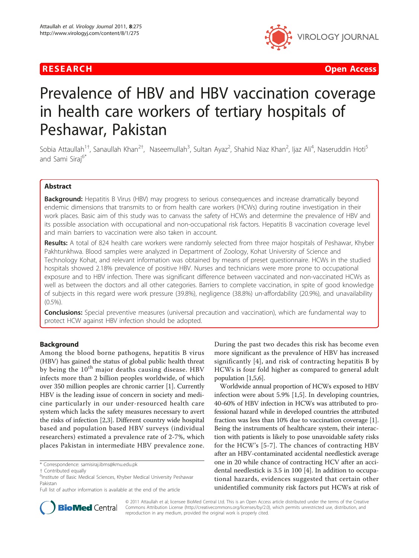



# Prevalence of HBV and HBV vaccination coverage in health care workers of tertiary hospitals of Peshawar, Pakistan

Sobia Attaullah<sup>1†</sup>, Sanaullah Khan<sup>2†</sup>, Naseemullah<sup>3</sup>, Sultan Ayaz<sup>2</sup>, Shahid Niaz Khan<sup>2</sup>, Ijaz Ali<sup>4</sup>, Naseruddin Hoti<sup>5</sup> and Sami Siraj<sup>6\*</sup>

# Abstract

**Background:** Hepatitis B Virus (HBV) may progress to serious consequences and increase dramatically beyond endemic dimensions that transmits to or from health care workers (HCWs) during routine investigation in their work places. Basic aim of this study was to canvass the safety of HCWs and determine the prevalence of HBV and its possible association with occupational and non-occupational risk factors. Hepatitis B vaccination coverage level and main barriers to vaccination were also taken in account.

Results: A total of 824 health care workers were randomly selected from three major hospitals of Peshawar, Khyber Pakhtunkhwa. Blood samples were analyzed in Department of Zoology, Kohat University of Science and Technology Kohat, and relevant information was obtained by means of preset questionnaire. HCWs in the studied hospitals showed 2.18% prevalence of positive HBV. Nurses and technicians were more prone to occupational exposure and to HBV infection. There was significant difference between vaccinated and non-vaccinated HCWs as well as between the doctors and all other categories. Barriers to complete vaccination, in spite of good knowledge of subjects in this regard were work pressure (39.8%), negligence (38.8%) un-affordability (20.9%), and unavailability (0.5%).

**Conclusions:** Special preventive measures (universal precaution and vaccination), which are fundamental way to protect HCW against HBV infection should be adopted.

# Background

Among the blood borne pathogens, hepatitis B virus (HBV) has gained the status of global public health threat by being the  $10<sup>th</sup>$  major deaths causing disease. HBV infects more than 2 billion peoples worldwide, of which over 350 million peoples are chronic carrier [\[1\]](#page-3-0). Currently HBV is the leading issue of concern in society and medicine particularly in our under-resourced health care system which lacks the safety measures necessary to avert the risks of infection [\[2,3\]](#page-4-0). Different country wide hospital based and population based HBV surveys (individual researchers) estimated a prevalence rate of 2-7%, which places Pakistan in intermediate HBV prevalence zone.

During the past two decades this risk has become even more significant as the prevalence of HBV has increased significantly [\[4\]](#page-4-0), and risk of contracting hepatitis B by HCWs is four fold higher as compared to general adult population [\[1](#page-3-0)[,5,6\]](#page-4-0).

Worldwide annual proportion of HCWs exposed to HBV infection were about 5.9% [\[1](#page-3-0)[,5](#page-4-0)]. In developing countries, 40-60% of HBV infection in HCWs was attributed to professional hazard while in developed countries the attributed fraction was less than 10% due to vaccination coverage [[1](#page-3-0)]. Being the instruments of healthcare system, their interaction with patients is likely to pose unavoidable safety risks for the HCW's [\[5-7\]](#page-4-0). The chances of contracting HBV after an HBV-contaminated accidental needlestick average one in 20 while chance of contracting HCV after an accidental needlestick is 3.5 in 100 [\[4\]](#page-4-0). In addition to occupational hazards, evidences suggested that certain other unidentified community risk factors put HCWs at risk of



© 2011 Attaullah et al; licensee BioMed Central Ltd. This is an Open Access article distributed under the terms of the Creative Commons Attribution License [\(http://creativecommons.org/licenses/by/2.0](http://creativecommons.org/licenses/by/2.0)), which permits unrestricted use, distribution, and reproduction in any medium, provided the original work is properly cited.

<sup>\*</sup> Correspondence: [samisiraj.ibms@kmu.edu.pk](mailto:samisiraj.ibms@kmu.edu.pk)

<sup>†</sup> Contributed equally <sup>6</sup>

<sup>&</sup>lt;sup>6</sup>Institute of Basic Medical Sciences, Khyber Medical University Peshawar Pakistan

Full list of author information is available at the end of the article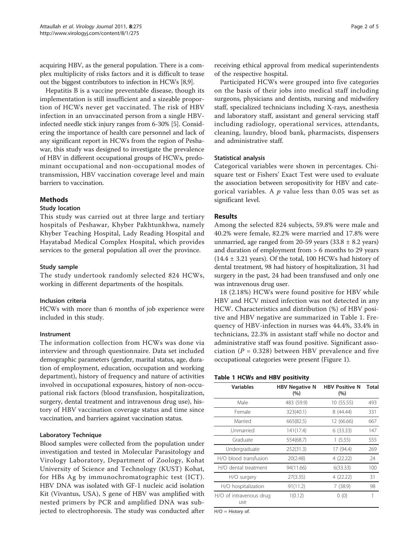acquiring HBV, as the general population. There is a complex multiplicity of risks factors and it is difficult to tease out the biggest contributors to infection in HCWs [\[8,9](#page-4-0)].

Hepatitis B is a vaccine preventable disease, though its implementation is still insufficient and a sizeable proportion of HCWs never get vaccinated. The risk of HBV infection in an unvaccinated person from a single HBVinfected needle stick injury ranges from 6-30% [\[5](#page-4-0)]. Considering the importance of health care personnel and lack of any significant report in HCWs from the region of Peshawar, this study was designed to investigate the prevalence of HBV in different occupational groups of HCWs, predominant occupational and non-occupational modes of transmission, HBV vaccination coverage level and main barriers to vaccination.

# Methods

# Study location

This study was carried out at three large and tertiary hospitals of Peshawar, Khyber Pakhtunkhwa, namely Khyber Teaching Hospital, Lady Reading Hospital and Hayatabad Medical Complex Hospital, which provides services to the general population all over the province.

# Study sample

The study undertook randomly selected 824 HCWs, working in different departments of the hospitals.

## Inclusion criteria

HCWs with more than 6 months of job experience were included in this study.

## Instrument

The information collection from HCWs was done via interview and through questionnaire. Data set included demographic parameters (gender, marital status, age, duration of employment, education, occupation and working department), history of frequency and nature of activities involved in occupational exposures, history of non-occupational risk factors (blood transfusion, hospitalization, surgery, dental treatment and intravenous drug use), history of HBV vaccination coverage status and time since vaccination, and barriers against vaccination status.

## Laboratory Technique

Blood samples were collected from the population under investigation and tested in Molecular Parasitology and Virology Laboratory, Department of Zoology, Kohat University of Science and Technology (KUST) Kohat, for HBs Ag by immunochromatographic test (ICT). HBV DNA was isolated with GF-1 nucleic acid isolation Kit (Vivantus, USA), S gene of HBV was amplified with nested primers by PCR and amplified DNA was subjected to electrophoresis. The study was conducted after receiving ethical approval from medical superintendents of the respective hospital.

Participated HCWs were grouped into five categories on the basis of their jobs into medical staff including surgeons, physicians and dentists, nursing and midwifery staff, specialized technicians including X-rays, anesthesia and laboratory staff, assistant and general servicing staff including radiology, operational services, attendants, cleaning, laundry, blood bank, pharmacists, dispensers and administrative staff.

## Statistical analysis

Categorical variables were shown in percentages. Chisquare test or Fishers' Exact Test were used to evaluate the association between seropositivity for HBV and categorical variables. A  $p$  value less than 0.05 was set as significant level.

# Results

Among the selected 824 subjects, 59.8% were male and 40.2% were female, 82.2% were married and 17.8% were unmarried, age ranged from 20-59 years  $(33.8 \pm 8.2 \text{ years})$ and duration of employment from > 6 months to 29 years  $(14.4 \pm 3.21 \text{ years})$ . Of the total, 100 HCWs had history of dental treatment, 98 had history of hospitalization, 31 had surgery in the past, 24 had been transfused and only one was intravenous drug user.

18 (2.18%) HCWs were found positive for HBV while HBV and HCV mixed infection was not detected in any HCW. Characteristics and distribution (%) of HBV positive and HBV negative are summarized in Table 1. Frequency of HBV-infection in nurses was 44.4%, 33.4% in technicians, 22.3% in assistant staff while no doctor and administrative staff was found positive. Significant association ( $P = 0.328$ ) between HBV prevalence and five occupational categories were present (Figure [1](#page-2-0)).

## Table 1 HCWs and HBV positivity

| <b>Variables</b>               | <b>HBV Negative N</b><br>(%) | <b>HBV Positive N</b><br>(%) | <b>Total</b> |
|--------------------------------|------------------------------|------------------------------|--------------|
| Male                           | 483 (59.9)                   | 10 (55.55)                   | 493          |
| Female                         | 323(40.1)                    | 8(44.44)                     | 331          |
| Married                        | 665(82.5)                    | 12 (66.66)                   | 667          |
| Unmarried                      | 141(17.4)                    | 6(33.33)                     | 147          |
| Graduate                       | 554(68.7)                    | 1(5.55)                      | 555          |
| Undergraduate                  | 252(31.3)                    | 17 (94.4)                    | 269          |
| H/O blood transfusion          | 20(2.48)                     | 4(22.22)                     | 24           |
| H/O dental treatment           | 94(11.66)                    | 6(33.33)                     | 100          |
| H/O surgery                    | 27(3.35)                     | 4(22.22)                     | 31           |
| H/O hospitalization            | 91(11.2)                     | 7 (38.9)                     | 98           |
| H/O of intravenous drug<br>use | 1(0.12)                      | 0(0)                         |              |

H/O = History of.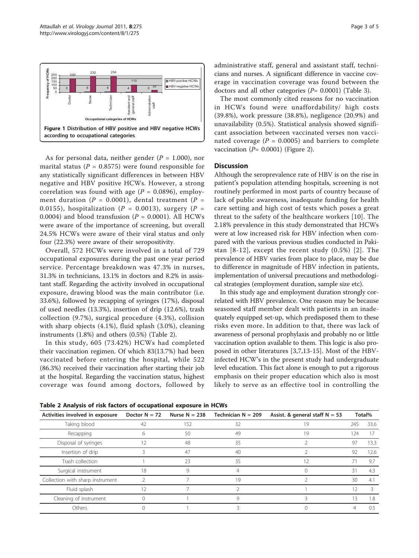<span id="page-2-0"></span>

As for personal data, neither gender ( $P = 1.000$ ), nor marital status ( $P = 0.8575$ ) were found responsible for any statistically significant differences in between HBV negative and HBV positive HCWs. However, a strong correlation was found with age ( $P = 0.0896$ ), employment duration ( $P = 0.0001$ ), dental treatment ( $P =$ 0.0155), hospitalization ( $P = 0.0013$ ), surgery ( $P =$ 0.0004) and blood transfusion ( $P = 0.0001$ ). All HCWs were aware of the importance of screening, but overall 24.5% HCWs were aware of their viral status and only four (22.3%) were aware of their seropositivity.

Overall, 572 HCWs were involved in a total of 729 occupational exposures during the past one year period service. Percentage breakdown was 47.3% in nurses, 31.3% in technicians, 13.1% in doctors and 8.2% in assistant staff. Regarding the activity involved in occupational exposure, drawing blood was the main contributor (i.e. 33.6%), followed by recapping of syringes (17%), disposal of used needles (13.3%), insertion of drip (12.6%), trash collection (9.7%), surgical procedure (4.3%), collision with sharp objects (4.1%), fluid splash (3.0%), cleaning instruments (1.8%) and others (0.5%) (Table 2).

In this study, 605 (73.42%) HCWs had completed their vaccination regimen. Of which 83(13.7%) had been vaccinated before entering the hospital, while 522 (86.3%) received their vaccination after starting their job at the hospital. Regarding the vaccination status, highest coverage was found among doctors, followed by administrative staff, general and assistant staff, technicians and nurses. A significant difference in vaccine coverage in vaccination coverage was found between the doctors and all other categories  $(P= 0.0001)$  (Table [3](#page-3-0)).

The most commonly cited reasons for no vaccination in HCWs found were unaffordability/ high costs (39.8%), work pressure (38.8%), negligence (20.9%) and unavailability (0.5%). Statistical analysis showed significant association between vaccinated verses non vaccinated coverage ( $P = 0.0005$ ) and barriers to complete vaccination ( $P = 0.0001$ ) (Figure [2](#page-3-0)).

# **Discussion**

Although the seroprevalence rate of HBV is on the rise in patient's population attending hospitals, screening is not routinely performed in most parts of country because of lack of public awareness, inadequate funding for health care setting and high cost of tests which poses a great threat to the safety of the healthcare workers [[10](#page-4-0)]. The 2.18% prevalence in this study demonstrated that HCWs were at low increased risk for HBV infection when compared with the various previous studies conducted in Pakistan [[8-12](#page-4-0)], except the recent study (0.5%) [[2](#page-4-0)]. The prevalence of HBV varies from place to place, may be due to difference in magnitude of HBV infection in patients, implementation of universal precautions and methodological strategies (employment duration, sample size etc).

In this study age and employment duration strongly correlated with HBV prevalence. One reason may be because seasoned staff member dealt with patients in an inadequately equipped set-up, which predisposed them to these risks even more. In addition to that, there was lack of awareness of personal prophylaxis and probably no or little vaccination option available to them. This logic is also proposed in other literatures [\[3](#page-4-0),[7,13-15](#page-4-0)]. Most of the HBVinfected HCW's in the present study had undergraduate level education. This fact alone is enough to put a rigorous emphasis on their proper education which also is most likely to serve as an effective tool in controlling the

Table 2 Analysis of risk factors of occupational exposure in HCWs

| Activities involved in exposure  | Doctor $N = 72$ | Nurse $N = 238$ | Technician $N = 209$ | Assist. & general staff $N = 53$ | Total% |      |
|----------------------------------|-----------------|-----------------|----------------------|----------------------------------|--------|------|
| Taking blood                     | 42              | 152             | 32                   | 19                               | 245    | 33.6 |
| Recapping                        |                 | 50              | 49                   | 19                               | 124    |      |
| Disposal of syringes             | 12              | 48              | 35                   |                                  | 97     | 13.3 |
| Insertion of drip                |                 | 47              | 40                   |                                  | 92     | 12.6 |
| Trash collection                 |                 | 23              | 35                   |                                  |        | 9.7  |
| Surgical instrument              | 18              | 9               |                      |                                  | 31     | 4.3  |
| Collection with sharp instrument |                 |                 | 19                   |                                  | 30     | 4.1  |
| Fluid splash                     | 12              |                 |                      |                                  | 12     |      |
| Cleaning of instrument           |                 |                 | Q                    |                                  |        | 1.8  |
| Others                           |                 |                 |                      |                                  |        | 0.5  |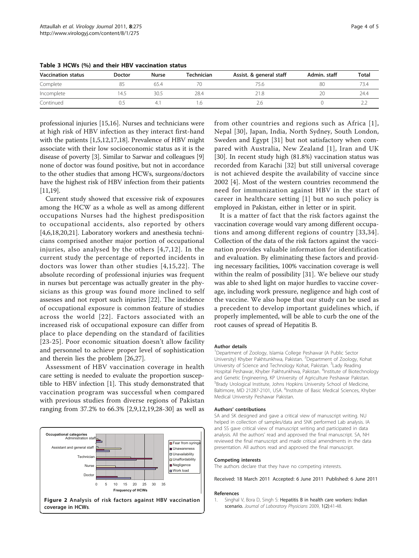| <b>Vaccination status</b> | <b>Doctor</b> | <b>Nurse</b> | Technician | Assist. & general staff | Admin. staff | <b>Total</b> |
|---------------------------|---------------|--------------|------------|-------------------------|--------------|--------------|
| Complete                  |               | 65.4         |            | 75.6                    | 80           | 73.4         |
| Incomplete                | 14.5          | 30.5         | 28.4       | 21.8                    | 20           | 24.4         |
| Continued                 | U.S           | $-4.1$       |            | 2.C                     |              |              |

<span id="page-3-0"></span>Table 3 HCWs (%) and their HBV vaccination status

professional injuries [\[15,16\]](#page-4-0). Nurses and technicians were at high risk of HBV infection as they interact first-hand with the patients [1[,5,12,17,18\]](#page-4-0). Prevalence of HBV might associate with their low socioeconomic status as it is the disease of poverty [[3](#page-4-0)]. Similar to Sarwar and colleagues [[9](#page-4-0)] none of doctor was found positive, but not in accordance to the other studies that among HCWs, surgeons/doctors have the highest risk of HBV infection from their patients [[11,19\]](#page-4-0).

Current study showed that excessive risk of exposures among the HCW as a whole as well as among different occupations Nurses had the highest predisposition to occupational accidents, also reported by others [[4,6,18,20,21](#page-4-0)]. Laboratory workers and anesthesia technicians comprised another major portion of occupational injuries, also analysed by the others [[4](#page-4-0),[7](#page-4-0),[12\]](#page-4-0). In the current study the percentage of reported incidents in doctors was lower than other studies [[4](#page-4-0),[15](#page-4-0),[22\]](#page-4-0). The absolute recording of professional injuries was frequent in nurses but percentage was actually greater in the physicians as this group was found more inclined to self assesses and not report such injuries [\[22\]](#page-4-0). The incidence of occupational exposure is common feature of studies across the world [[22\]](#page-4-0). Factors associated with an increased risk of occupational exposure can differ from place to place depending on the standard of facilities [[23](#page-4-0)-[25](#page-4-0)]. Poor economic situation doesn't allow facility and personnel to achieve proper level of sophistication and therein lies the problem [[26,27\]](#page-4-0).

Assessment of HBV vaccination coverage in health care setting is needed to evaluate the proportion susceptible to HBV infection [1]. This study demonstrated that vaccination program was successful when compared with previous studies from diverse regions of Pakistan ranging from 37.2% to 66.3% [\[2,9,12,19,28](#page-4-0)-[30\]](#page-4-0) as well as



from other countries and regions such as Africa [1], Nepal [\[30](#page-4-0)], Japan, India, North Sydney, South London, Sweden and Egypt [\[31](#page-4-0)] but not satisfactory when compared with Australia, New Zealand [1], Iran and UK [[30\]](#page-4-0). In recent study high (81.8%) vaccination status was recorded from Karachi [[32](#page-4-0)] but still universal coverage is not achieved despite the availability of vaccine since 2002 [[4\]](#page-4-0). Most of the western countries recommend the need for immunization against HBV in the start of career in healthcare setting [1] but no such policy is employed in Pakistan, either in letter or in spirit.

It is a matter of fact that the risk factors against the vaccination coverage would vary among different occupations and among different regions of country [\[33,34\]](#page-4-0). Collection of the data of the risk factors against the vaccination provides valuable information for identification and evaluation. By eliminating these factors and providing necessary facilities, 100% vaccination coverage is well within the realm of possibility [\[31](#page-4-0)]. We believe our study was able to shed light on major hurdles to vaccine coverage, including work pressure, negligence and high cost of the vaccine. We also hope that our study can be used as a precedent to develop important guidelines which, if properly implemented, will be able to curb the one of the root causes of spread of Hepatitis B.

### Author details

<sup>1</sup>Department of Zoology, Islamia College Peshawar (A Public Sector University) Khyber Pakhtunkhwa, Pakistan. <sup>2</sup>Department of Zoology, Kohat University of Science and Technology Kohat, Pakistan. <sup>3</sup> Lady Reading Hospital Peshawar, Khyber Pakhtunkhwa, Pakistan. <sup>4</sup>Institute of Biotechnology and Genetic Engineering, KP University of Agriculture Peshawar Pakistan. 5 Brady Urological Institute, Johns Hopkins University School of Medicine, Baltimore, MD 21287-2101, USA. <sup>6</sup>Institute of Basic Medical Sciences, Khyber Medical University Peshawar Pakistan.

### Authors' contributions

SA and SK designed and gave a critical view of manuscript writing. NU helped in collection of samples/data and SNK performed Lab analysis. IA and SS gave critical view of manuscript writing and participated in data analysis. All the authors' read and approved the final manuscript. SA, NH reviewed the final manuscript and made critical amendments in the data presentation. All authors read and approved the final manuscript.

#### Competing interests

The authors declare that they have no competing interests.

## Received: 18 March 2011 Accepted: 6 June 2011 Published: 6 June 2011

#### References

1. Singhal V, Bora D, Singh S: Hepatitis B in health care workers: Indian scenario. Journal of Laboratory Physicians 2009, 1(2):41-48.